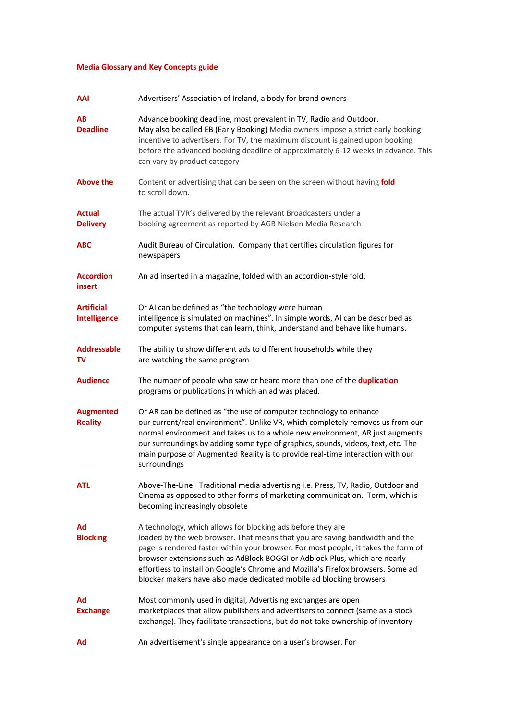## **Media Glossary and Key Concepts guide**

| AAI                                      | Advertisers' Association of Ireland, a body for brand owners                                                                                                                                                                                                                                                                                                                                                                                                              |
|------------------------------------------|---------------------------------------------------------------------------------------------------------------------------------------------------------------------------------------------------------------------------------------------------------------------------------------------------------------------------------------------------------------------------------------------------------------------------------------------------------------------------|
| AВ<br><b>Deadline</b>                    | Advance booking deadline, most prevalent in TV, Radio and Outdoor.<br>May also be called EB (Early Booking) Media owners impose a strict early booking<br>incentive to advertisers. For TV, the maximum discount is gained upon booking<br>before the advanced booking deadline of approximately 6-12 weeks in advance. This<br>can vary by product category                                                                                                              |
| <b>Above the</b>                         | Content or advertising that can be seen on the screen without having fold<br>to scroll down.                                                                                                                                                                                                                                                                                                                                                                              |
| Actual<br><b>Delivery</b>                | The actual TVR's delivered by the relevant Broadcasters under a<br>booking agreement as reported by AGB Nielsen Media Research                                                                                                                                                                                                                                                                                                                                            |
| ABC                                      | Audit Bureau of Circulation. Company that certifies circulation figures for<br>newspapers                                                                                                                                                                                                                                                                                                                                                                                 |
| <b>Accordion</b><br>insert               | An ad inserted in a magazine, folded with an accordion-style fold.                                                                                                                                                                                                                                                                                                                                                                                                        |
| <b>Artificial</b><br><b>Intelligence</b> | Or AI can be defined as "the technology were human<br>intelligence is simulated on machines". In simple words, AI can be described as<br>computer systems that can learn, think, understand and behave like humans.                                                                                                                                                                                                                                                       |
| <b>Addressable</b><br>TV                 | The ability to show different ads to different households while they<br>are watching the same program                                                                                                                                                                                                                                                                                                                                                                     |
| <b>Audience</b>                          | The number of people who saw or heard more than one of the duplication<br>programs or publications in which an ad was placed.                                                                                                                                                                                                                                                                                                                                             |
| <b>Augmented</b><br><b>Reality</b>       | Or AR can be defined as "the use of computer technology to enhance<br>our current/real environment". Unlike VR, which completely removes us from our<br>normal environment and takes us to a whole new environment, AR just augments<br>our surroundings by adding some type of graphics, sounds, videos, text, etc. The<br>main purpose of Augmented Reality is to provide real-time interaction with our<br>surroundings                                                |
| <b>ATL</b>                               | Above-The-Line. Traditional media advertising i.e. Press, TV, Radio, Outdoor and<br>Cinema as opposed to other forms of marketing communication. Term, which is<br>becoming increasingly obsolete                                                                                                                                                                                                                                                                         |
| Ad<br><b>Blocking</b>                    | A technology, which allows for blocking ads before they are<br>loaded by the web browser. That means that you are saving bandwidth and the<br>page is rendered faster within your browser. For most people, it takes the form of<br>browser extensions such as AdBlock BOGGI or Adblock Plus, which are nearly<br>effortless to install on Google's Chrome and Mozilla's Firefox browsers. Some ad<br>blocker makers have also made dedicated mobile ad blocking browsers |
| Ad<br><b>Exchange</b>                    | Most commonly used in digital, Advertising exchanges are open<br>marketplaces that allow publishers and advertisers to connect (same as a stock<br>exchange). They facilitate transactions, but do not take ownership of inventory                                                                                                                                                                                                                                        |
| Ad                                       | An advertisement's single appearance on a user's browser. For                                                                                                                                                                                                                                                                                                                                                                                                             |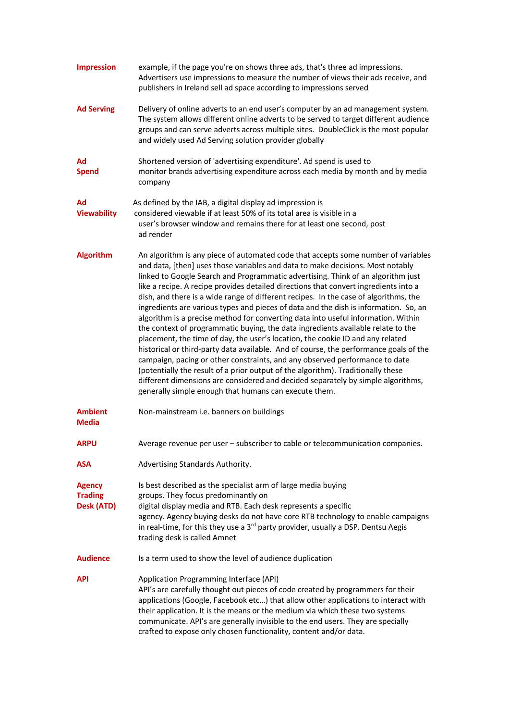| <b>Impression</b>                             | example, if the page you're on shows three ads, that's three ad impressions.<br>Advertisers use impressions to measure the number of views their ads receive, and<br>publishers in Ireland sell ad space according to impressions served                                                                                                                                                                                                                                                                                                                                                                                                                                                                                                                                                                                                                                                                                                                                                                                                                                                                                                                                                            |
|-----------------------------------------------|-----------------------------------------------------------------------------------------------------------------------------------------------------------------------------------------------------------------------------------------------------------------------------------------------------------------------------------------------------------------------------------------------------------------------------------------------------------------------------------------------------------------------------------------------------------------------------------------------------------------------------------------------------------------------------------------------------------------------------------------------------------------------------------------------------------------------------------------------------------------------------------------------------------------------------------------------------------------------------------------------------------------------------------------------------------------------------------------------------------------------------------------------------------------------------------------------------|
| <b>Ad Serving</b>                             | Delivery of online adverts to an end user's computer by an ad management system.<br>The system allows different online adverts to be served to target different audience<br>groups and can serve adverts across multiple sites. DoubleClick is the most popular<br>and widely used Ad Serving solution provider globally                                                                                                                                                                                                                                                                                                                                                                                                                                                                                                                                                                                                                                                                                                                                                                                                                                                                            |
| Ad<br><b>Spend</b>                            | Shortened version of 'advertising expenditure'. Ad spend is used to<br>monitor brands advertising expenditure across each media by month and by media<br>company                                                                                                                                                                                                                                                                                                                                                                                                                                                                                                                                                                                                                                                                                                                                                                                                                                                                                                                                                                                                                                    |
| Ad<br><b>Viewability</b>                      | As defined by the IAB, a digital display ad impression is<br>considered viewable if at least 50% of its total area is visible in a<br>user's browser window and remains there for at least one second, post<br>ad render                                                                                                                                                                                                                                                                                                                                                                                                                                                                                                                                                                                                                                                                                                                                                                                                                                                                                                                                                                            |
| <b>Algorithm</b>                              | An algorithm is any piece of automated code that accepts some number of variables<br>and data, [then] uses those variables and data to make decisions. Most notably<br>linked to Google Search and Programmatic advertising. Think of an algorithm just<br>like a recipe. A recipe provides detailed directions that convert ingredients into a<br>dish, and there is a wide range of different recipes. In the case of algorithms, the<br>ingredients are various types and pieces of data and the dish is information. So, an<br>algorithm is a precise method for converting data into useful information. Within<br>the context of programmatic buying, the data ingredients available relate to the<br>placement, the time of day, the user's location, the cookie ID and any related<br>historical or third-party data available. And of course, the performance goals of the<br>campaign, pacing or other constraints, and any observed performance to date<br>(potentially the result of a prior output of the algorithm). Traditionally these<br>different dimensions are considered and decided separately by simple algorithms,<br>generally simple enough that humans can execute them. |
| <b>Ambient</b><br><b>Media</b>                | Non-mainstream i.e. banners on buildings                                                                                                                                                                                                                                                                                                                                                                                                                                                                                                                                                                                                                                                                                                                                                                                                                                                                                                                                                                                                                                                                                                                                                            |
| <b>ARPU</b>                                   | Average revenue per user - subscriber to cable or telecommunication companies.                                                                                                                                                                                                                                                                                                                                                                                                                                                                                                                                                                                                                                                                                                                                                                                                                                                                                                                                                                                                                                                                                                                      |
| <b>ASA</b>                                    | Advertising Standards Authority.                                                                                                                                                                                                                                                                                                                                                                                                                                                                                                                                                                                                                                                                                                                                                                                                                                                                                                                                                                                                                                                                                                                                                                    |
| <b>Agency</b><br><b>Trading</b><br>Desk (ATD) | Is best described as the specialist arm of large media buying<br>groups. They focus predominantly on<br>digital display media and RTB. Each desk represents a specific<br>agency. Agency buying desks do not have core RTB technology to enable campaigns<br>in real-time, for this they use a 3 <sup>rd</sup> party provider, usually a DSP. Dentsu Aegis<br>trading desk is called Amnet                                                                                                                                                                                                                                                                                                                                                                                                                                                                                                                                                                                                                                                                                                                                                                                                          |
| <b>Audience</b>                               | Is a term used to show the level of audience duplication                                                                                                                                                                                                                                                                                                                                                                                                                                                                                                                                                                                                                                                                                                                                                                                                                                                                                                                                                                                                                                                                                                                                            |
| API                                           | Application Programming Interface (API)<br>API's are carefully thought out pieces of code created by programmers for their<br>applications (Google, Facebook etc) that allow other applications to interact with<br>their application. It is the means or the medium via which these two systems<br>communicate. API's are generally invisible to the end users. They are specially<br>crafted to expose only chosen functionality, content and/or data.                                                                                                                                                                                                                                                                                                                                                                                                                                                                                                                                                                                                                                                                                                                                            |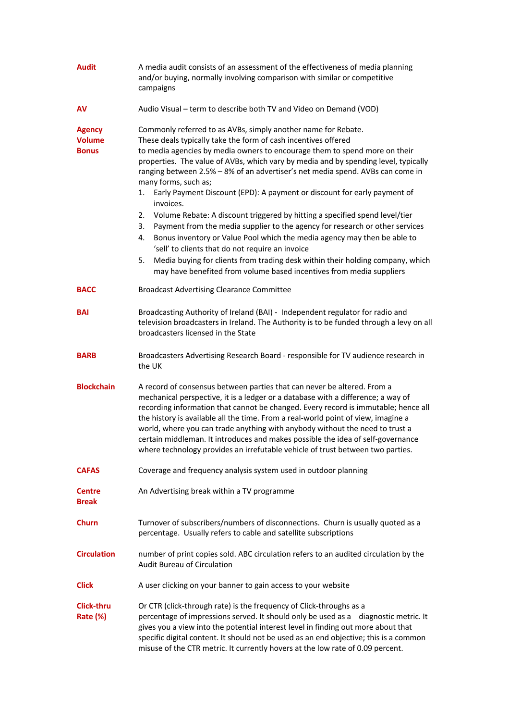| <b>Audit</b>                                   | A media audit consists of an assessment of the effectiveness of media planning<br>and/or buying, normally involving comparison with similar or competitive<br>campaigns                                                                                                                                                                                                                                                                                                                                                                                                                                                                                                                                                                                                                                                                                                                                                                                                                        |
|------------------------------------------------|------------------------------------------------------------------------------------------------------------------------------------------------------------------------------------------------------------------------------------------------------------------------------------------------------------------------------------------------------------------------------------------------------------------------------------------------------------------------------------------------------------------------------------------------------------------------------------------------------------------------------------------------------------------------------------------------------------------------------------------------------------------------------------------------------------------------------------------------------------------------------------------------------------------------------------------------------------------------------------------------|
| AV                                             | Audio Visual - term to describe both TV and Video on Demand (VOD)                                                                                                                                                                                                                                                                                                                                                                                                                                                                                                                                                                                                                                                                                                                                                                                                                                                                                                                              |
| <b>Agency</b><br><b>Volume</b><br><b>Bonus</b> | Commonly referred to as AVBs, simply another name for Rebate.<br>These deals typically take the form of cash incentives offered<br>to media agencies by media owners to encourage them to spend more on their<br>properties. The value of AVBs, which vary by media and by spending level, typically<br>ranging between 2.5% - 8% of an advertiser's net media spend. AVBs can come in<br>many forms, such as;<br>Early Payment Discount (EPD): A payment or discount for early payment of<br>1.<br>invoices.<br>Volume Rebate: A discount triggered by hitting a specified spend level/tier<br>2.<br>Payment from the media supplier to the agency for research or other services<br>3.<br>Bonus inventory or Value Pool which the media agency may then be able to<br>4.<br>'sell' to clients that do not require an invoice<br>Media buying for clients from trading desk within their holding company, which<br>5.<br>may have benefited from volume based incentives from media suppliers |
| <b>BACC</b>                                    | <b>Broadcast Advertising Clearance Committee</b>                                                                                                                                                                                                                                                                                                                                                                                                                                                                                                                                                                                                                                                                                                                                                                                                                                                                                                                                               |
| <b>BAI</b>                                     | Broadcasting Authority of Ireland (BAI) - Independent regulator for radio and<br>television broadcasters in Ireland. The Authority is to be funded through a levy on all<br>broadcasters licensed in the State                                                                                                                                                                                                                                                                                                                                                                                                                                                                                                                                                                                                                                                                                                                                                                                 |
| <b>BARB</b>                                    | Broadcasters Advertising Research Board - responsible for TV audience research in<br>the UK                                                                                                                                                                                                                                                                                                                                                                                                                                                                                                                                                                                                                                                                                                                                                                                                                                                                                                    |
| <b>Blockchain</b>                              | A record of consensus between parties that can never be altered. From a<br>mechanical perspective, it is a ledger or a database with a difference; a way of<br>recording information that cannot be changed. Every record is immutable; hence all<br>the history is available all the time. From a real-world point of view, imagine a<br>world, where you can trade anything with anybody without the need to trust a<br>certain middleman. It introduces and makes possible the idea of self-governance<br>where technology provides an irrefutable vehicle of trust between two parties.                                                                                                                                                                                                                                                                                                                                                                                                    |
| <b>CAFAS</b>                                   | Coverage and frequency analysis system used in outdoor planning                                                                                                                                                                                                                                                                                                                                                                                                                                                                                                                                                                                                                                                                                                                                                                                                                                                                                                                                |
| <b>Centre</b><br><b>Break</b>                  | An Advertising break within a TV programme                                                                                                                                                                                                                                                                                                                                                                                                                                                                                                                                                                                                                                                                                                                                                                                                                                                                                                                                                     |
| <b>Churn</b>                                   | Turnover of subscribers/numbers of disconnections. Churn is usually quoted as a<br>percentage. Usually refers to cable and satellite subscriptions                                                                                                                                                                                                                                                                                                                                                                                                                                                                                                                                                                                                                                                                                                                                                                                                                                             |
| <b>Circulation</b>                             | number of print copies sold. ABC circulation refers to an audited circulation by the<br><b>Audit Bureau of Circulation</b>                                                                                                                                                                                                                                                                                                                                                                                                                                                                                                                                                                                                                                                                                                                                                                                                                                                                     |
| <b>Click</b>                                   | A user clicking on your banner to gain access to your website                                                                                                                                                                                                                                                                                                                                                                                                                                                                                                                                                                                                                                                                                                                                                                                                                                                                                                                                  |
| Click-thru<br>Rate (%)                         | Or CTR (click-through rate) is the frequency of Click-throughs as a<br>percentage of impressions served. It should only be used as a diagnostic metric. It<br>gives you a view into the potential interest level in finding out more about that<br>specific digital content. It should not be used as an end objective; this is a common<br>misuse of the CTR metric. It currently hovers at the low rate of 0.09 percent.                                                                                                                                                                                                                                                                                                                                                                                                                                                                                                                                                                     |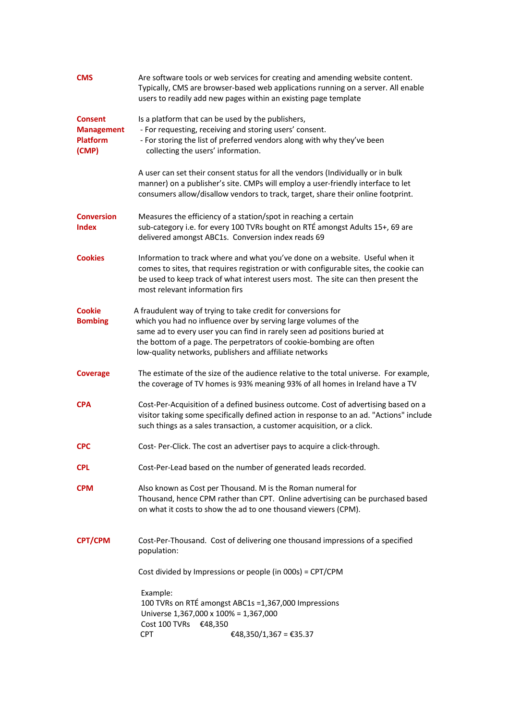| <b>CMS</b>                        | Are software tools or web services for creating and amending website content.<br>Typically, CMS are browser-based web applications running on a server. All enable<br>users to readily add new pages within an existing page template                                                       |
|-----------------------------------|---------------------------------------------------------------------------------------------------------------------------------------------------------------------------------------------------------------------------------------------------------------------------------------------|
| <b>Consent</b>                    | Is a platform that can be used by the publishers,                                                                                                                                                                                                                                           |
| <b>Management</b>                 | - For requesting, receiving and storing users' consent.                                                                                                                                                                                                                                     |
| <b>Platform</b><br>(CMP)          | - For storing the list of preferred vendors along with why they've been<br>collecting the users' information.                                                                                                                                                                               |
|                                   | A user can set their consent status for all the vendors (Individually or in bulk<br>manner) on a publisher's site. CMPs will employ a user-friendly interface to let<br>consumers allow/disallow vendors to track, target, share their online footprint.                                    |
| <b>Conversion</b><br><b>Index</b> | Measures the efficiency of a station/spot in reaching a certain<br>sub-category i.e. for every 100 TVRs bought on RTÉ amongst Adults 15+, 69 are<br>delivered amongst ABC1s. Conversion index reads 69                                                                                      |
| <b>Cookies</b>                    | Information to track where and what you've done on a website. Useful when it<br>comes to sites, that requires registration or with configurable sites, the cookie can<br>be used to keep track of what interest users most. The site can then present the<br>most relevant information firs |
| <b>Cookie</b>                     | A fraudulent way of trying to take credit for conversions for                                                                                                                                                                                                                               |
| <b>Bombing</b>                    | which you had no influence over by serving large volumes of the                                                                                                                                                                                                                             |
|                                   | same ad to every user you can find in rarely seen ad positions buried at                                                                                                                                                                                                                    |
|                                   | the bottom of a page. The perpetrators of cookie-bombing are often<br>low-quality networks, publishers and affiliate networks                                                                                                                                                               |
| <b>Coverage</b>                   | The estimate of the size of the audience relative to the total universe. For example,<br>the coverage of TV homes is 93% meaning 93% of all homes in Ireland have a TV                                                                                                                      |
| <b>CPA</b>                        | Cost-Per-Acquisition of a defined business outcome. Cost of advertising based on a<br>visitor taking some specifically defined action in response to an ad. "Actions" include<br>such things as a sales transaction, a customer acquisition, or a click.                                    |
| <b>CPC</b>                        | Cost-Per-Click. The cost an advertiser pays to acquire a click-through.                                                                                                                                                                                                                     |
| <b>CPL</b>                        | Cost-Per-Lead based on the number of generated leads recorded.                                                                                                                                                                                                                              |
| <b>CPM</b>                        | Also known as Cost per Thousand. M is the Roman numeral for<br>Thousand, hence CPM rather than CPT. Online advertising can be purchased based<br>on what it costs to show the ad to one thousand viewers (CPM).                                                                             |
| <b>CPT/CPM</b>                    | Cost-Per-Thousand. Cost of delivering one thousand impressions of a specified<br>population:                                                                                                                                                                                                |
|                                   | Cost divided by Impressions or people (in 000s) = CPT/CPM                                                                                                                                                                                                                                   |
|                                   | Example:<br>100 TVRs on RTÉ amongst ABC1s =1,367,000 Impressions                                                                                                                                                                                                                            |
|                                   | Universe 1,367,000 x 100% = 1,367,000                                                                                                                                                                                                                                                       |
|                                   | Cost 100 TVRs €48,350<br><b>CPT</b><br>€48,350/1,367 = €35.37                                                                                                                                                                                                                               |
|                                   |                                                                                                                                                                                                                                                                                             |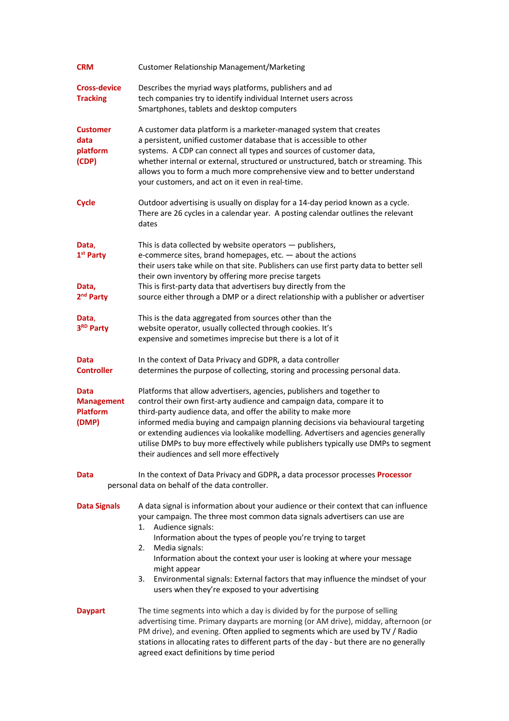| <b>CRM</b>                                                       | <b>Customer Relationship Management/Marketing</b>                                                                                                                                                                                                                                                                                                                                                                                                                                                                              |
|------------------------------------------------------------------|--------------------------------------------------------------------------------------------------------------------------------------------------------------------------------------------------------------------------------------------------------------------------------------------------------------------------------------------------------------------------------------------------------------------------------------------------------------------------------------------------------------------------------|
| <b>Cross-device</b><br><b>Tracking</b>                           | Describes the myriad ways platforms, publishers and ad<br>tech companies try to identify individual Internet users across<br>Smartphones, tablets and desktop computers                                                                                                                                                                                                                                                                                                                                                        |
| <b>Customer</b><br>data<br>platform<br>(CDP)                     | A customer data platform is a marketer-managed system that creates<br>a persistent, unified customer database that is accessible to other<br>systems. A CDP can connect all types and sources of customer data,<br>whether internal or external, structured or unstructured, batch or streaming. This<br>allows you to form a much more comprehensive view and to better understand<br>your customers, and act on it even in real-time.                                                                                        |
| <b>Cycle</b>                                                     | Outdoor advertising is usually on display for a 14-day period known as a cycle.<br>There are 26 cycles in a calendar year. A posting calendar outlines the relevant<br>dates                                                                                                                                                                                                                                                                                                                                                   |
| Data,<br>1 <sup>st</sup> Party<br>Data,<br>2 <sup>nd</sup> Party | This is data collected by website operators $-$ publishers,<br>e-commerce sites, brand homepages, etc. - about the actions<br>their users take while on that site. Publishers can use first party data to better sell<br>their own inventory by offering more precise targets<br>This is first-party data that advertisers buy directly from the<br>source either through a DMP or a direct relationship with a publisher or advertiser                                                                                        |
| Data,<br>3RD Party                                               | This is the data aggregated from sources other than the<br>website operator, usually collected through cookies. It's<br>expensive and sometimes imprecise but there is a lot of it                                                                                                                                                                                                                                                                                                                                             |
| Data<br><b>Controller</b>                                        | In the context of Data Privacy and GDPR, a data controller<br>determines the purpose of collecting, storing and processing personal data.                                                                                                                                                                                                                                                                                                                                                                                      |
| Data<br><b>Management</b><br>Platform<br>(DMP)                   | Platforms that allow advertisers, agencies, publishers and together to<br>control their own first-arty audience and campaign data, compare it to<br>third-party audience data, and offer the ability to make more<br>informed media buying and campaign planning decisions via behavioural targeting<br>or extending audiences via lookalike modelling. Advertisers and agencies generally<br>utilise DMPs to buy more effectively while publishers typically use DMPs to segment<br>their audiences and sell more effectively |
| Data                                                             | In the context of Data Privacy and GDPR, a data processor processes Processor<br>personal data on behalf of the data controller.                                                                                                                                                                                                                                                                                                                                                                                               |
| <b>Data Signals</b>                                              | A data signal is information about your audience or their context that can influence<br>your campaign. The three most common data signals advertisers can use are<br>1.<br>Audience signals:<br>Information about the types of people you're trying to target<br>2.<br>Media signals:<br>Information about the context your user is looking at where your message<br>might appear<br>Environmental signals: External factors that may influence the mindset of your<br>3.<br>users when they're exposed to your advertising    |
| <b>Daypart</b>                                                   | The time segments into which a day is divided by for the purpose of selling<br>advertising time. Primary dayparts are morning (or AM drive), midday, afternoon (or<br>PM drive), and evening. Often applied to segments which are used by TV / Radio<br>stations in allocating rates to different parts of the day - but there are no generally<br>agreed exact definitions by time period                                                                                                                                     |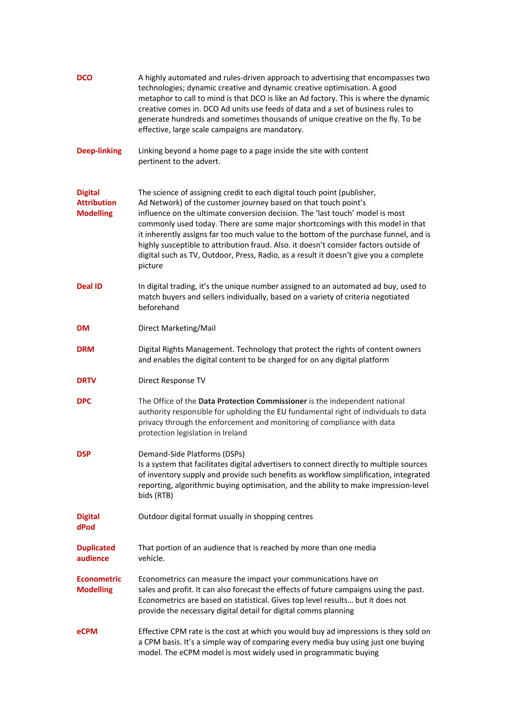| <b>DCO</b>                                               | A highly automated and rules-driven approach to advertising that encompasses two<br>technologies; dynamic creative and dynamic creative optimisation. A good<br>metaphor to call to mind is that DCO is like an Ad factory. This is where the dynamic<br>creative comes in. DCO Ad units use feeds of data and a set of business rules to<br>generate hundreds and sometimes thousands of unique creative on the fly. To be<br>effective, large scale campaigns are mandatory.                                                                                                                      |
|----------------------------------------------------------|-----------------------------------------------------------------------------------------------------------------------------------------------------------------------------------------------------------------------------------------------------------------------------------------------------------------------------------------------------------------------------------------------------------------------------------------------------------------------------------------------------------------------------------------------------------------------------------------------------|
| <b>Deep-linking</b>                                      | Linking beyond a home page to a page inside the site with content<br>pertinent to the advert.                                                                                                                                                                                                                                                                                                                                                                                                                                                                                                       |
| <b>Digital</b><br><b>Attribution</b><br><b>Modelling</b> | The science of assigning credit to each digital touch point (publisher,<br>Ad Network) of the customer journey based on that touch point's<br>influence on the ultimate conversion decision. The 'last touch' model is most<br>commonly used today. There are some major shortcomings with this model in that<br>it inherently assigns far too much value to the bottom of the purchase funnel, and is<br>highly susceptible to attribution fraud. Also. it doesn't consider factors outside of<br>digital such as TV, Outdoor, Press, Radio, as a result it doesn't give you a complete<br>picture |
| <b>Deal ID</b>                                           | In digital trading, it's the unique number assigned to an automated ad buy, used to<br>match buyers and sellers individually, based on a variety of criteria negotiated<br>beforehand                                                                                                                                                                                                                                                                                                                                                                                                               |
| <b>DM</b>                                                | Direct Marketing/Mail                                                                                                                                                                                                                                                                                                                                                                                                                                                                                                                                                                               |
| <b>DRM</b>                                               | Digital Rights Management. Technology that protect the rights of content owners<br>and enables the digital content to be charged for on any digital platform                                                                                                                                                                                                                                                                                                                                                                                                                                        |
| <b>DRTV</b>                                              | Direct Response TV                                                                                                                                                                                                                                                                                                                                                                                                                                                                                                                                                                                  |
| <b>DPC</b>                                               | The Office of the Data Protection Commissioner is the independent national<br>authority responsible for upholding the EU fundamental right of individuals to data<br>privacy through the enforcement and monitoring of compliance with data<br>protection legislation in Ireland                                                                                                                                                                                                                                                                                                                    |
| <b>DSP</b>                                               | Demand-Side Platforms (DSPs)<br>Is a system that facilitates digital advertisers to connect directly to multiple sources<br>of inventory supply and provide such benefits as workflow simplification, integrated<br>reporting, algorithmic buying optimisation, and the ability to make impression-level<br>bids (RTB)                                                                                                                                                                                                                                                                              |
| <b>Digital</b><br>dPod                                   | Outdoor digital format usually in shopping centres                                                                                                                                                                                                                                                                                                                                                                                                                                                                                                                                                  |
| <b>Duplicated</b><br>audience                            | That portion of an audience that is reached by more than one media<br>vehicle.                                                                                                                                                                                                                                                                                                                                                                                                                                                                                                                      |
| <b>Econometric</b><br><b>Modelling</b>                   | Econometrics can measure the impact your communications have on<br>sales and profit. It can also forecast the effects of future campaigns using the past.<br>Econometrics are based on statistical. Gives top level results but it does not<br>provide the necessary digital detail for digital comms planning                                                                                                                                                                                                                                                                                      |
| eCPM                                                     | Effective CPM rate is the cost at which you would buy ad impressions is they sold on<br>a CPM basis. It's a simple way of comparing every media buy using just one buying<br>model. The eCPM model is most widely used in programmatic buying                                                                                                                                                                                                                                                                                                                                                       |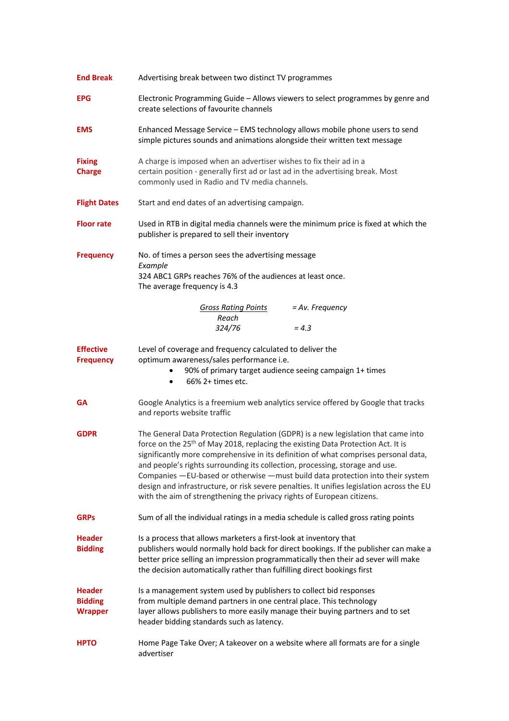| <b>End Break</b>                                  | Advertising break between two distinct TV programmes                                                                                                                                                                                                                                                                                                                                                                                                                                                                                                                                                                |
|---------------------------------------------------|---------------------------------------------------------------------------------------------------------------------------------------------------------------------------------------------------------------------------------------------------------------------------------------------------------------------------------------------------------------------------------------------------------------------------------------------------------------------------------------------------------------------------------------------------------------------------------------------------------------------|
| <b>EPG</b>                                        | Electronic Programming Guide - Allows viewers to select programmes by genre and<br>create selections of favourite channels                                                                                                                                                                                                                                                                                                                                                                                                                                                                                          |
| <b>EMS</b>                                        | Enhanced Message Service - EMS technology allows mobile phone users to send<br>simple pictures sounds and animations alongside their written text message                                                                                                                                                                                                                                                                                                                                                                                                                                                           |
| <b>Fixing</b><br><b>Charge</b>                    | A charge is imposed when an advertiser wishes to fix their ad in a<br>certain position - generally first ad or last ad in the advertising break. Most<br>commonly used in Radio and TV media channels.                                                                                                                                                                                                                                                                                                                                                                                                              |
| <b>Flight Dates</b>                               | Start and end dates of an advertising campaign.                                                                                                                                                                                                                                                                                                                                                                                                                                                                                                                                                                     |
| <b>Floor rate</b>                                 | Used in RTB in digital media channels were the minimum price is fixed at which the<br>publisher is prepared to sell their inventory                                                                                                                                                                                                                                                                                                                                                                                                                                                                                 |
| <b>Frequency</b>                                  | No. of times a person sees the advertising message<br>Example                                                                                                                                                                                                                                                                                                                                                                                                                                                                                                                                                       |
|                                                   | 324 ABC1 GRPs reaches 76% of the audiences at least once.<br>The average frequency is 4.3                                                                                                                                                                                                                                                                                                                                                                                                                                                                                                                           |
|                                                   | = Av. Frequency<br><b>Gross Rating Points</b>                                                                                                                                                                                                                                                                                                                                                                                                                                                                                                                                                                       |
|                                                   | Reach<br>324/76<br>$= 4.3$                                                                                                                                                                                                                                                                                                                                                                                                                                                                                                                                                                                          |
| <b>Effective</b><br><b>Frequency</b>              | Level of coverage and frequency calculated to deliver the<br>optimum awareness/sales performance i.e.<br>90% of primary target audience seeing campaign 1+ times<br>66% 2+ times etc.<br>٠                                                                                                                                                                                                                                                                                                                                                                                                                          |
| <b>GA</b>                                         | Google Analytics is a freemium web analytics service offered by Google that tracks<br>and reports website traffic                                                                                                                                                                                                                                                                                                                                                                                                                                                                                                   |
| <b>GDPR</b>                                       | The General Data Protection Regulation (GDPR) is a new legislation that came into<br>force on the 25 <sup>th</sup> of May 2018, replacing the existing Data Protection Act. It is<br>significantly more comprehensive in its definition of what comprises personal data,<br>and people's rights surrounding its collection, processing, storage and use.<br>Companies - EU-based or otherwise - must build data protection into their system<br>design and infrastructure, or risk severe penalties. It unifies legislation across the EU<br>with the aim of strengthening the privacy rights of European citizens. |
| <b>GRPs</b>                                       | Sum of all the individual ratings in a media schedule is called gross rating points                                                                                                                                                                                                                                                                                                                                                                                                                                                                                                                                 |
| <b>Header</b><br><b>Bidding</b>                   | Is a process that allows marketers a first-look at inventory that<br>publishers would normally hold back for direct bookings. If the publisher can make a<br>better price selling an impression programmatically then their ad sever will make<br>the decision automatically rather than fulfilling direct bookings first                                                                                                                                                                                                                                                                                           |
| <b>Header</b><br><b>Bidding</b><br><b>Wrapper</b> | Is a management system used by publishers to collect bid responses<br>from multiple demand partners in one central place. This technology<br>layer allows publishers to more easily manage their buying partners and to set<br>header bidding standards such as latency.                                                                                                                                                                                                                                                                                                                                            |
| <b>HPTO</b>                                       | Home Page Take Over; A takeover on a website where all formats are for a single<br>advertiser                                                                                                                                                                                                                                                                                                                                                                                                                                                                                                                       |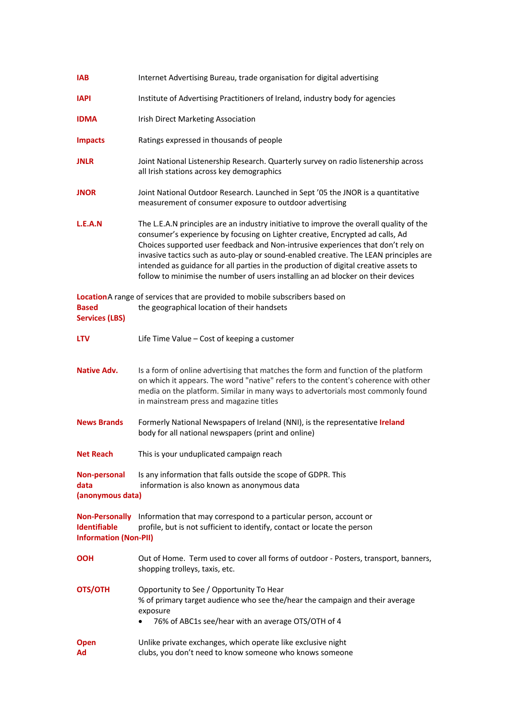| <b>IAB</b>                                          | Internet Advertising Bureau, trade organisation for digital advertising                                                                                                                                                                                                                                                                                                                                                                                                                                                           |
|-----------------------------------------------------|-----------------------------------------------------------------------------------------------------------------------------------------------------------------------------------------------------------------------------------------------------------------------------------------------------------------------------------------------------------------------------------------------------------------------------------------------------------------------------------------------------------------------------------|
| <b>IAPI</b>                                         | Institute of Advertising Practitioners of Ireland, industry body for agencies                                                                                                                                                                                                                                                                                                                                                                                                                                                     |
| <b>IDMA</b>                                         | <b>Irish Direct Marketing Association</b>                                                                                                                                                                                                                                                                                                                                                                                                                                                                                         |
| <b>Impacts</b>                                      | Ratings expressed in thousands of people                                                                                                                                                                                                                                                                                                                                                                                                                                                                                          |
| <b>JNLR</b>                                         | Joint National Listenership Research. Quarterly survey on radio listenership across<br>all Irish stations across key demographics                                                                                                                                                                                                                                                                                                                                                                                                 |
| <b>JNOR</b>                                         | Joint National Outdoor Research. Launched in Sept '05 the JNOR is a quantitative<br>measurement of consumer exposure to outdoor advertising                                                                                                                                                                                                                                                                                                                                                                                       |
| L.E.A.N                                             | The L.E.A.N principles are an industry initiative to improve the overall quality of the<br>consumer's experience by focusing on Lighter creative, Encrypted ad calls, Ad<br>Choices supported user feedback and Non-intrusive experiences that don't rely on<br>invasive tactics such as auto-play or sound-enabled creative. The LEAN principles are<br>intended as guidance for all parties in the production of digital creative assets to<br>follow to minimise the number of users installing an ad blocker on their devices |
| <b>Based</b><br><b>Services (LBS)</b>               | LocationA range of services that are provided to mobile subscribers based on<br>the geographical location of their handsets                                                                                                                                                                                                                                                                                                                                                                                                       |
| <b>LTV</b>                                          | Life Time Value - Cost of keeping a customer                                                                                                                                                                                                                                                                                                                                                                                                                                                                                      |
| <b>Native Adv.</b>                                  | Is a form of online advertising that matches the form and function of the platform<br>on which it appears. The word "native" refers to the content's coherence with other<br>media on the platform. Similar in many ways to advertorials most commonly found<br>in mainstream press and magazine titles                                                                                                                                                                                                                           |
| <b>News Brands</b>                                  | Formerly National Newspapers of Ireland (NNI), is the representative Ireland<br>body for all national newspapers (print and online)                                                                                                                                                                                                                                                                                                                                                                                               |
| <b>Net Reach</b>                                    | This is your unduplicated campaign reach                                                                                                                                                                                                                                                                                                                                                                                                                                                                                          |
| Non-personal<br>data<br>(anonymous data)            | Is any information that falls outside the scope of GDPR. This<br>information is also known as anonymous data                                                                                                                                                                                                                                                                                                                                                                                                                      |
| <b>Identifiable</b><br><b>Information (Non-PII)</b> | Non-Personally Information that may correspond to a particular person, account or<br>profile, but is not sufficient to identify, contact or locate the person                                                                                                                                                                                                                                                                                                                                                                     |
| <b>OOH</b>                                          | Out of Home. Term used to cover all forms of outdoor - Posters, transport, banners,<br>shopping trolleys, taxis, etc.                                                                                                                                                                                                                                                                                                                                                                                                             |
| OTS/OTH                                             | Opportunity to See / Opportunity To Hear<br>% of primary target audience who see the/hear the campaign and their average<br>exposure<br>76% of ABC1s see/hear with an average OTS/OTH of 4                                                                                                                                                                                                                                                                                                                                        |
| <b>Open</b><br>Ad                                   | Unlike private exchanges, which operate like exclusive night<br>clubs, you don't need to know someone who knows someone                                                                                                                                                                                                                                                                                                                                                                                                           |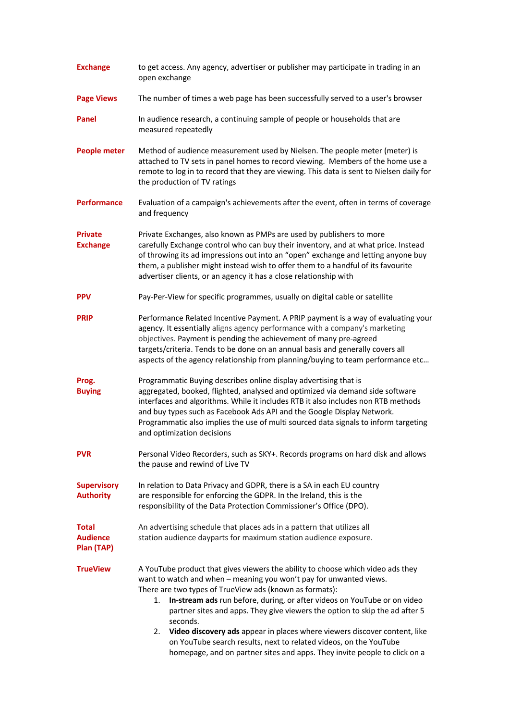| <b>Exchange</b>                               | to get access. Any agency, advertiser or publisher may participate in trading in an<br>open exchange                                                                                                                                                                                                                                                                                                                                                                                                                                                                                                                            |
|-----------------------------------------------|---------------------------------------------------------------------------------------------------------------------------------------------------------------------------------------------------------------------------------------------------------------------------------------------------------------------------------------------------------------------------------------------------------------------------------------------------------------------------------------------------------------------------------------------------------------------------------------------------------------------------------|
| <b>Page Views</b>                             | The number of times a web page has been successfully served to a user's browser                                                                                                                                                                                                                                                                                                                                                                                                                                                                                                                                                 |
| Panel                                         | In audience research, a continuing sample of people or households that are<br>measured repeatedly                                                                                                                                                                                                                                                                                                                                                                                                                                                                                                                               |
| <b>People meter</b>                           | Method of audience measurement used by Nielsen. The people meter (meter) is<br>attached to TV sets in panel homes to record viewing. Members of the home use a<br>remote to log in to record that they are viewing. This data is sent to Nielsen daily for<br>the production of TV ratings                                                                                                                                                                                                                                                                                                                                      |
| <b>Performance</b>                            | Evaluation of a campaign's achievements after the event, often in terms of coverage<br>and frequency                                                                                                                                                                                                                                                                                                                                                                                                                                                                                                                            |
| <b>Private</b><br><b>Exchange</b>             | Private Exchanges, also known as PMPs are used by publishers to more<br>carefully Exchange control who can buy their inventory, and at what price. Instead<br>of throwing its ad impressions out into an "open" exchange and letting anyone buy<br>them, a publisher might instead wish to offer them to a handful of its favourite<br>advertiser clients, or an agency it has a close relationship with                                                                                                                                                                                                                        |
| <b>PPV</b>                                    | Pay-Per-View for specific programmes, usually on digital cable or satellite                                                                                                                                                                                                                                                                                                                                                                                                                                                                                                                                                     |
| <b>PRIP</b>                                   | Performance Related Incentive Payment. A PRIP payment is a way of evaluating your<br>agency. It essentially aligns agency performance with a company's marketing<br>objectives. Payment is pending the achievement of many pre-agreed<br>targets/criteria. Tends to be done on an annual basis and generally covers all<br>aspects of the agency relationship from planning/buying to team performance etc                                                                                                                                                                                                                      |
| Prog.<br><b>Buying</b>                        | Programmatic Buying describes online display advertising that is<br>aggregated, booked, flighted, analysed and optimized via demand side software<br>interfaces and algorithms. While it includes RTB it also includes non RTB methods<br>and buy types such as Facebook Ads API and the Google Display Network.<br>Programmatic also implies the use of multi sourced data signals to inform targeting<br>and optimization decisions                                                                                                                                                                                           |
| <b>PVR</b>                                    | Personal Video Recorders, such as SKY+. Records programs on hard disk and allows<br>the pause and rewind of Live TV                                                                                                                                                                                                                                                                                                                                                                                                                                                                                                             |
| <b>Supervisory</b><br><b>Authority</b>        | In relation to Data Privacy and GDPR, there is a SA in each EU country<br>are responsible for enforcing the GDPR. In the Ireland, this is the<br>responsibility of the Data Protection Commissioner's Office (DPO).                                                                                                                                                                                                                                                                                                                                                                                                             |
| <b>Total</b><br><b>Audience</b><br>Plan (TAP) | An advertising schedule that places ads in a pattern that utilizes all<br>station audience dayparts for maximum station audience exposure.                                                                                                                                                                                                                                                                                                                                                                                                                                                                                      |
| <b>TrueView</b>                               | A YouTube product that gives viewers the ability to choose which video ads they<br>want to watch and when - meaning you won't pay for unwanted views.<br>There are two types of TrueView ads (known as formats):<br>In-stream ads run before, during, or after videos on YouTube or on video<br>1.<br>partner sites and apps. They give viewers the option to skip the ad after 5<br>seconds.<br>2. Video discovery ads appear in places where viewers discover content, like<br>on YouTube search results, next to related videos, on the YouTube<br>homepage, and on partner sites and apps. They invite people to click on a |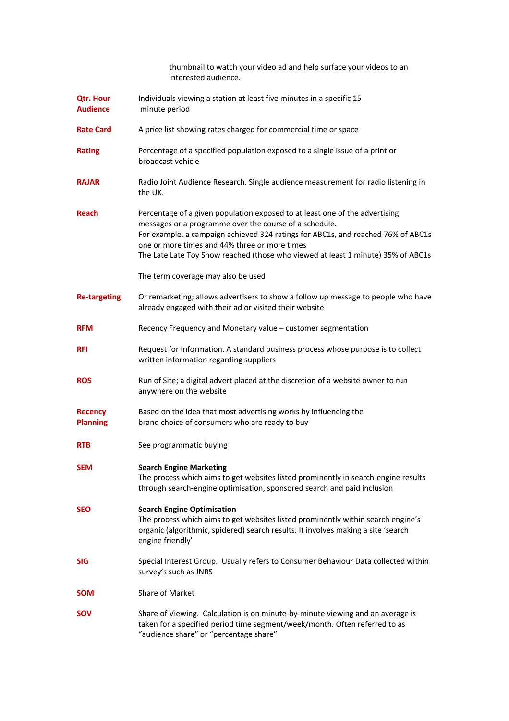| thumbnail to watch your video ad and help surface your videos to an |  |
|---------------------------------------------------------------------|--|
| interested audience.                                                |  |

- **Qtr. Hour** Individuals viewing a station at least five minutes in a specific 15 **Audience** minute period
- **Rate Card** A price list showing rates charged for commercial time or space
- **Rating** Percentage of a specified population exposed to a single issue of a print or broadcast vehicle
- RAJAR Radio Joint Audience Research. Single audience measurement for radio listening in the UK.
- **Reach** Percentage of a given population exposed to at least one of the advertising messages or a programme over the course of a schedule. For example, a campaign achieved 324 ratings for ABC1s, and reached 76% of ABC1s one or more times and 44% three or more times The Late Late Toy Show reached (those who viewed at least 1 minute) 35% of ABC1s
	- The term coverage may also be used
- **Re-targeting** Or remarketing; allows advertisers to show a follow up message to people who have already engaged with their ad or visited their website
- **RFM** Recency Frequency and Monetary value customer segmentation
- **RFI** Request for Information. A standard business process whose purpose is to collect written information regarding suppliers
- **ROS** Run of Site; a digital advert placed at the discretion of a website owner to run anywhere on the website
- **Recency** Based on the idea that most advertising works by influencing the **Planning** brand choice of consumers who are ready to buy
- **RTB** See programmatic buying
- **SEM Search Engine Marketing** The process which aims to get websites listed prominently in search-engine results through search-engine optimisation, sponsored search and paid inclusion
- **SEO Search Engine Optimisation**
	- The process which aims to get websites listed prominently within search engine's organic (algorithmic, spidered) search results. It involves making a site 'search engine friendly'
- **SIG** Special Interest Group. Usually refers to Consumer Behaviour Data collected within survey's such as JNRS
- **SOM** Share of Market
- **SOV** Share of Viewing. Calculation is on minute-by-minute viewing and an average is taken for a specified period time segment/week/month. Often referred to as "audience share" or "percentage share"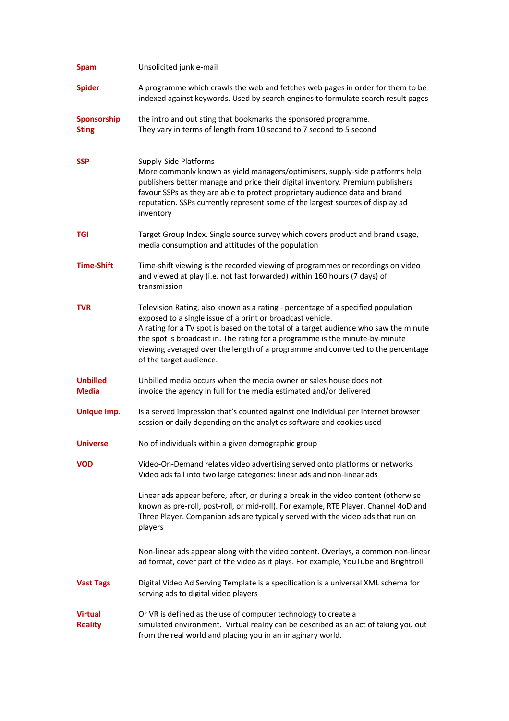| <b>Spam</b>                      | Unsolicited junk e-mail                                                                                                                                                                                                                                                                                                                                                                                                              |
|----------------------------------|--------------------------------------------------------------------------------------------------------------------------------------------------------------------------------------------------------------------------------------------------------------------------------------------------------------------------------------------------------------------------------------------------------------------------------------|
| <b>Spider</b>                    | A programme which crawls the web and fetches web pages in order for them to be<br>indexed against keywords. Used by search engines to formulate search result pages                                                                                                                                                                                                                                                                  |
| Sponsorship<br><b>Sting</b>      | the intro and out sting that bookmarks the sponsored programme.<br>They vary in terms of length from 10 second to 7 second to 5 second                                                                                                                                                                                                                                                                                               |
| <b>SSP</b>                       | Supply-Side Platforms<br>More commonly known as yield managers/optimisers, supply-side platforms help<br>publishers better manage and price their digital inventory. Premium publishers<br>favour SSPs as they are able to protect proprietary audience data and brand<br>reputation. SSPs currently represent some of the largest sources of display ad<br>inventory                                                                |
| TGI                              | Target Group Index. Single source survey which covers product and brand usage,<br>media consumption and attitudes of the population                                                                                                                                                                                                                                                                                                  |
| <b>Time-Shift</b>                | Time-shift viewing is the recorded viewing of programmes or recordings on video<br>and viewed at play (i.e. not fast forwarded) within 160 hours (7 days) of<br>transmission                                                                                                                                                                                                                                                         |
| <b>TVR</b>                       | Television Rating, also known as a rating - percentage of a specified population<br>exposed to a single issue of a print or broadcast vehicle.<br>A rating for a TV spot is based on the total of a target audience who saw the minute<br>the spot is broadcast in. The rating for a programme is the minute-by-minute<br>viewing averaged over the length of a programme and converted to the percentage<br>of the target audience. |
| <b>Unbilled</b><br><b>Media</b>  | Unbilled media occurs when the media owner or sales house does not<br>invoice the agency in full for the media estimated and/or delivered                                                                                                                                                                                                                                                                                            |
| Unique Imp.                      | Is a served impression that's counted against one individual per internet browser<br>session or daily depending on the analytics software and cookies used                                                                                                                                                                                                                                                                           |
| <b>Universe</b>                  | No of individuals within a given demographic group                                                                                                                                                                                                                                                                                                                                                                                   |
| <b>VOD</b>                       | Video-On-Demand relates video advertising served onto platforms or networks<br>Video ads fall into two large categories: linear ads and non-linear ads                                                                                                                                                                                                                                                                               |
|                                  | Linear ads appear before, after, or during a break in the video content (otherwise<br>known as pre-roll, post-roll, or mid-roll). For example, RTE Player, Channel 4oD and<br>Three Player. Companion ads are typically served with the video ads that run on<br>players                                                                                                                                                             |
|                                  | Non-linear ads appear along with the video content. Overlays, a common non-linear<br>ad format, cover part of the video as it plays. For example, YouTube and Brightroll                                                                                                                                                                                                                                                             |
| <b>Vast Tags</b>                 | Digital Video Ad Serving Template is a specification is a universal XML schema for<br>serving ads to digital video players                                                                                                                                                                                                                                                                                                           |
| <b>Virtual</b><br><b>Reality</b> | Or VR is defined as the use of computer technology to create a<br>simulated environment. Virtual reality can be described as an act of taking you out<br>from the real world and placing you in an imaginary world.                                                                                                                                                                                                                  |